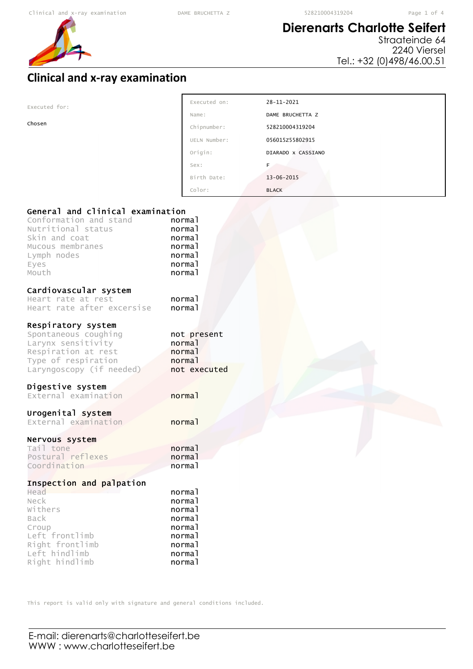## **Dierenarts Charlotte Seifert**

Straateinde 64 2240 Viersel Tel.: +32 (0)498/46.00.51

## **Clinical and x-ray examination**

|--|

Chosen

| Executed on: | 28-11-2021         |
|--------------|--------------------|
| Name:        | DAME BRUCHETTA Z   |
| Chipnumber:  | 528210004319204    |
| UELN Number: | 056015z55802915    |
| Origin:      | DIARADO X CASSIANO |
| Sex:         | F                  |
| Birth Date:  | $13 - 06 - 2015$   |
| Color:       | <b>BLACK</b>       |

### General and clinical examination

| General and Crinical Examination<br>Conformation and stand<br>Nutritional status<br>Skin and coat<br>Mucous membranes<br>Lymph nodes<br>Eyes<br>Mouth | normal<br>normal<br>normal<br>normal<br>normal<br>normal<br>normal                     |
|-------------------------------------------------------------------------------------------------------------------------------------------------------|----------------------------------------------------------------------------------------|
| Cardiovascular system<br>Heart rate at rest<br>Heart rate after excersise                                                                             | normal<br>normal                                                                       |
| Respiratory system<br>Spontaneous coughing<br>Larynx sensitivity<br>Respiration at rest<br>Type of respiration<br>Laryngoscopy (if needed)            | not present<br>normal<br>normal<br>normal<br>not executed                              |
| Digestive system<br>External examination                                                                                                              | normal                                                                                 |
| Urogenital system<br>External examination                                                                                                             | normal                                                                                 |
| Nervous system<br>Tail tone<br>Postural reflexes<br>Coordination                                                                                      | normal<br>normal<br>normal                                                             |
| Inspection and palpation<br>Head<br>Neck<br>Withers<br>Back<br>Croup<br>Left frontlimb<br>Right frontlimb<br>Left hindlimb<br>Right hindlimb          | normal<br>normal<br>normal<br>normal<br>normal<br>normal<br>normal<br>normal<br>normal |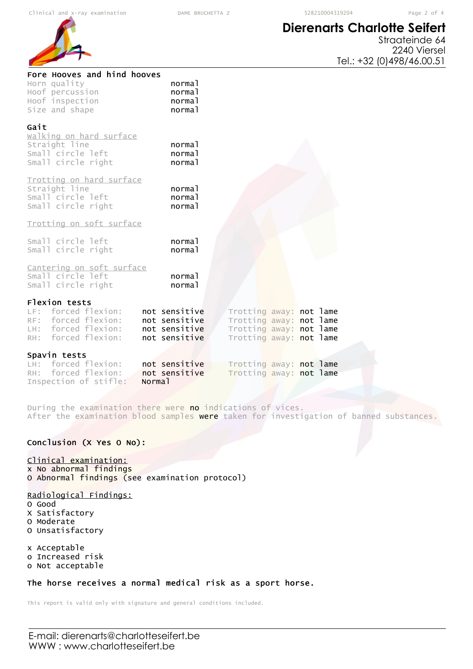# **Dierenarts Charlotte Seifert**



| Hoof percussion<br>normal<br>Hoof inspection<br>normal<br>Size and shape<br>normal                                                                                                                                                                                                        |  |
|-------------------------------------------------------------------------------------------------------------------------------------------------------------------------------------------------------------------------------------------------------------------------------------------|--|
| Gait<br>walking on hard surface<br>Straight line<br>normal<br>Small circle left<br>normal<br>Small circle right<br>normal                                                                                                                                                                 |  |
| Trotting on hard surface<br>Straight line<br>normal<br>Small circle left<br>normal<br>Small circle right<br>normal                                                                                                                                                                        |  |
| Trotting on soft surface                                                                                                                                                                                                                                                                  |  |
| Small circle left<br>normal<br>Small circle right<br>normal                                                                                                                                                                                                                               |  |
| Cantering on soft surface<br>Small circle left<br>normal<br>Small circle right<br>normal                                                                                                                                                                                                  |  |
| Flexion tests<br>LF: forced flexion:<br>not sensitive<br>Trotting away: not lame<br>RF: forced flexion:<br>not sensitive<br>Trotting away: not lame<br>LH: forced flexion:<br>not sensitive<br>Trotting away: not lame<br>RH: forced flexion:<br>not sensitive<br>Trotting away: not lame |  |
| Spavin tests                                                                                                                                                                                                                                                                              |  |
| LH: forced flexion:<br>not sensitive<br>Trotting away: not lame<br>RH: forced flexion:<br>not sensitive<br>Trotting away: not lame                                                                                                                                                        |  |
| Inspection of stifle:<br>Normal                                                                                                                                                                                                                                                           |  |

During the examination there were no indications of vices. After the examination blood samples were taken for investigation of banned substances.

### Conclusion (X Yes O No):

#### Clinical examination:

x No abnormal findings O Abnormal findings (see examination protocol)

#### Radiological Findings:

- O Good
- X Satisfactory O Moderate
- O Unsatisfactory

x Acceptable o Increased risk

o Not acceptable

#### The horse receives a normal medical risk as a sport horse.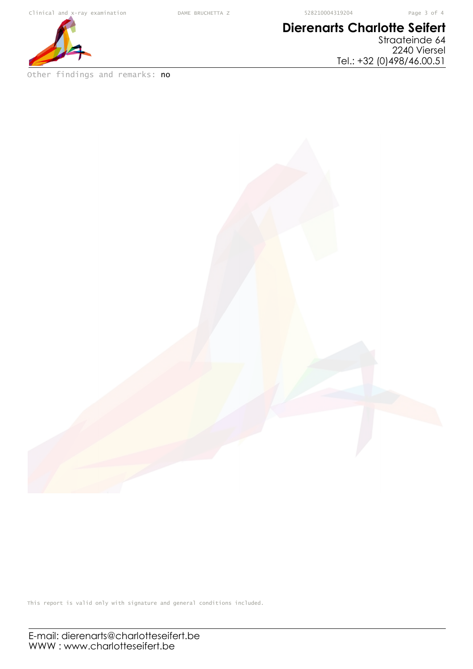# **Dierenarts Charlotte Seifert**

Straateinde 64 2240 Viersel Tel.: +32 (0)498/46.00.51



Other findings and remarks: no